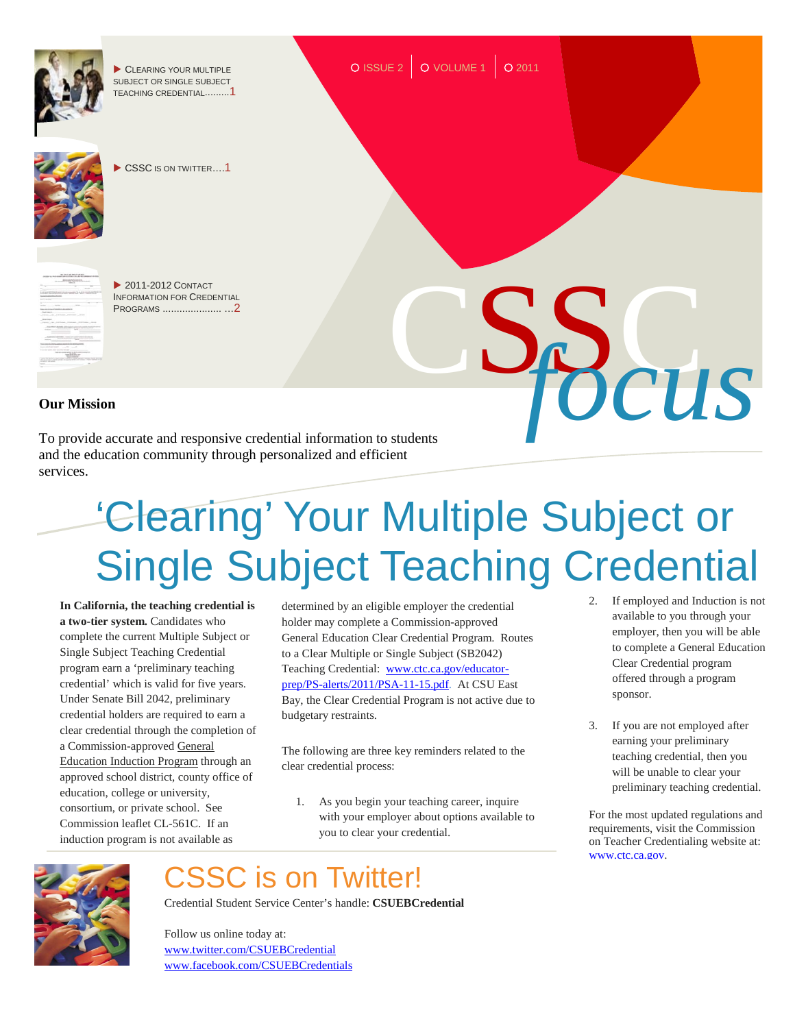

and the education community through personalized and efficient services.

# 'Clearing' Your Multiple Subject or Single Subject Teaching Credential

**In California, the teaching credential is a two-tier system.** Candidates who complete the current Multiple Subject or Single Subject Teaching Credential program earn a 'preliminary teaching credential' which is valid for five years. Under Senate Bill 2042, preliminary credential holders are required to earn a clear credential through the completion of a Commission-approved General Education Induction Program through an approved school district, county office of education, college or university, consortium, or private school. See Commission leaflet CL-561C. If an induction program is not available as

determined by an eligible employer the credential holder may complete a Commission-approved General Education Clear Credential Program. Routes to a Clear Multiple or Single Subject (SB2042) Teaching Credential: [www.ctc.ca.gov/educator](http://www.ctc.ca.gov/educator-prep/PS-alerts/2011/PSA-11-15.pdf)[prep/PS-alerts/2011/PSA-11-15.pdf.](http://www.ctc.ca.gov/educator-prep/PS-alerts/2011/PSA-11-15.pdf)At CSU East Bay, the Clear Credential Program is not active due to budgetary restraints.

The following are three key reminders related to the clear credential process:

1. As you begin your teaching career, inquire with your employer about options available to you to clear your credential.

## CSSC is on Twitter!

Credential Student Service Center's handle: **CSUEBCredential**

Follow us online today at: [www.twitter.com/CSUEBCredential](http://www.twitter.com/CSUEBCredential) [www.facebook.com/CSUEBCredentials](http://www.facebook.com/CSUEBCredentials)

- 2. If employed and Induction is not available to you through your employer, then you will be able to complete a General Education Clear Credential program offered through a program sponsor.
- 3. If you are not employed after earning your preliminary teaching credential, then you will be unable to clear your preliminary teaching credential.

For the most updated regulations and requirements, visit the Commission on Teacher Credentialing website at: [www.ctc.ca.gov.](http://www.ctc.ca.gov/)